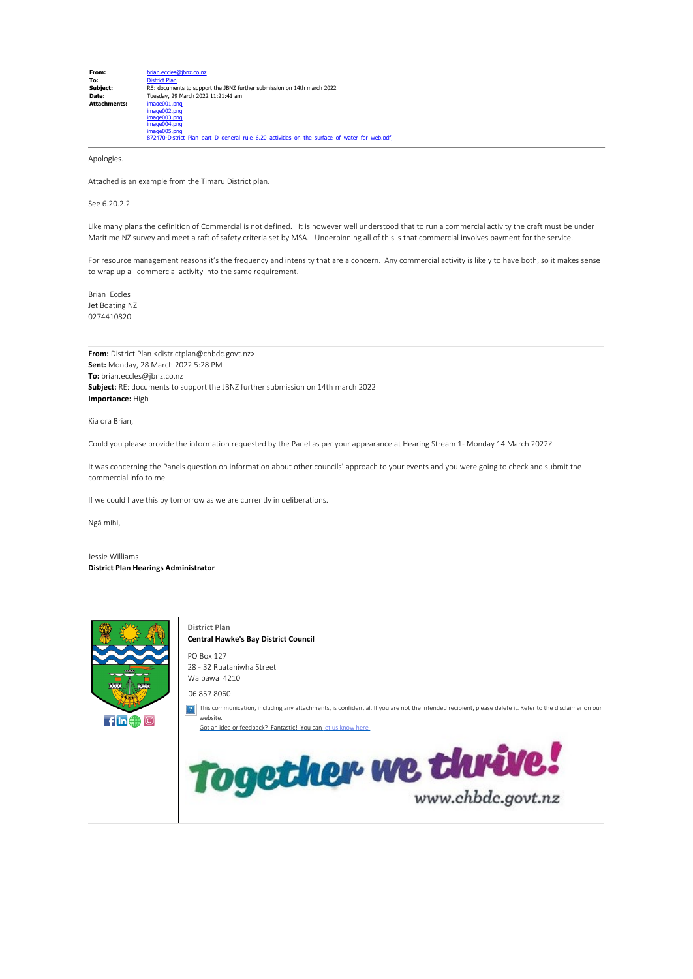| From:               | brian.eccles@ibnz.co.nz                                                                      |
|---------------------|----------------------------------------------------------------------------------------------|
| To:                 | <b>District Plan</b>                                                                         |
| Subject:            | RE: documents to support the JBNZ further submission on 14th march 2022                      |
| Date:               | Tuesday, 29 March 2022 11:21:41 am                                                           |
| <b>Attachments:</b> | image001.png                                                                                 |
|                     | image002.png                                                                                 |
|                     | image003.png                                                                                 |
|                     | image004.png                                                                                 |
|                     | image005.png                                                                                 |
|                     | 872470-District Plan part D general rule 6.20 activities on the surface of water for web.pdf |

Apologies.

Attached is an example from the Timaru District plan.

#### See 6.20.2.2

Like many plans the definition of Commercial is not defined. It is however well understood that to run a commercial activity the craft must be under Maritime NZ survey and meet a raft of safety criteria set by MSA. Underpinning all of this is that commercial involves payment for the service.

For resource management reasons it's the frequency and intensity that are a concern. Any commercial activity is likely to have both, so it makes sense to wrap up all commercial activity into the same requirement.

Brian Eccles Jet Boating NZ 0274410820

**From:** District Plan <districtplan@chbdc.govt.nz> **Sent:** Monday, 28 March 2022 5:28 PM **To:** brian.eccles@jbnz.co.nz **Subject:** RE: documents to support the JBNZ further submission on 14th march 2022 **Importance:** High

Kia ora Brian,

Could you please provide the information requested by the Panel as per your appearance at Hearing Stream 1- Monday 14 March 2022?

It was concerning the Panels question on information about other councils' approach to your events and you were going to check and submit the commercial info to me.

If we could have this by tomorrow as we are currently in deliberations.

Ngā mihi,

Jessie Williams **District Plan Hearings Administrator**



**District Plan Central Hawke's Bay District Council** PO Box 127 28 ‑ 32 Ruataniwha Street Waipawa 4210 06 857 8060 **[This communication, including any attachments, is confidential.](https://www.chbdc.govt.nz/our-council/about-this-site/feedback/) If you are not the intended recipient, please delete it. Refer to the disclaimer on our** [website.](https://www.chbdc.govt.nz/our-council/about-this-site/feedback/) Got an idea or [feedback? Fantastic! You](https://www.chbdc.govt.nz/our-council/about-this-site/feedback/) can let us know hereTogether we thrive!

www.chbdc.govt.nz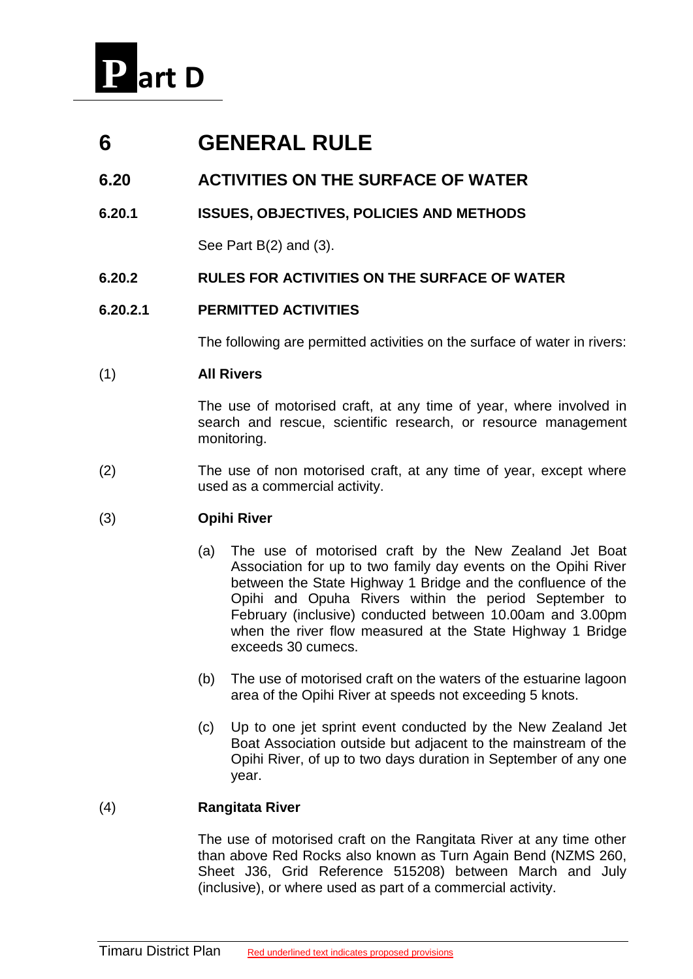

# **6 GENERAL RULE**

## **6.20 ACTIVITIES ON THE SURFACE OF WATER**

**6.20.1 ISSUES, OBJECTIVES, POLICIES AND METHODS**

See Part B(2) and (3).

**6.20.2 RULES FOR ACTIVITIES ON THE SURFACE OF WATER**

### **6.20.2.1 PERMITTED ACTIVITIES**

The following are permitted activities on the surface of water in rivers:

#### (1) **All Rivers**

The use of motorised craft, at any time of year, where involved in search and rescue, scientific research, or resource management monitoring.

(2) The use of non motorised craft, at any time of year, except where used as a commercial activity.

### (3) **Opihi River**

- (a) The use of motorised craft by the New Zealand Jet Boat Association for up to two family day events on the Opihi River between the State Highway 1 Bridge and the confluence of the Opihi and Opuha Rivers within the period September to February (inclusive) conducted between 10.00am and 3.00pm when the river flow measured at the State Highway 1 Bridge exceeds 30 cumecs.
- (b) The use of motorised craft on the waters of the estuarine lagoon area of the Opihi River at speeds not exceeding 5 knots.
- (c) Up to one jet sprint event conducted by the New Zealand Jet Boat Association outside but adjacent to the mainstream of the Opihi River, of up to two days duration in September of any one year.

### (4) **Rangitata River**

The use of motorised craft on the Rangitata River at any time other than above Red Rocks also known as Turn Again Bend (NZMS 260, Sheet J36, Grid Reference 515208) between March and July (inclusive), or where used as part of a commercial activity.